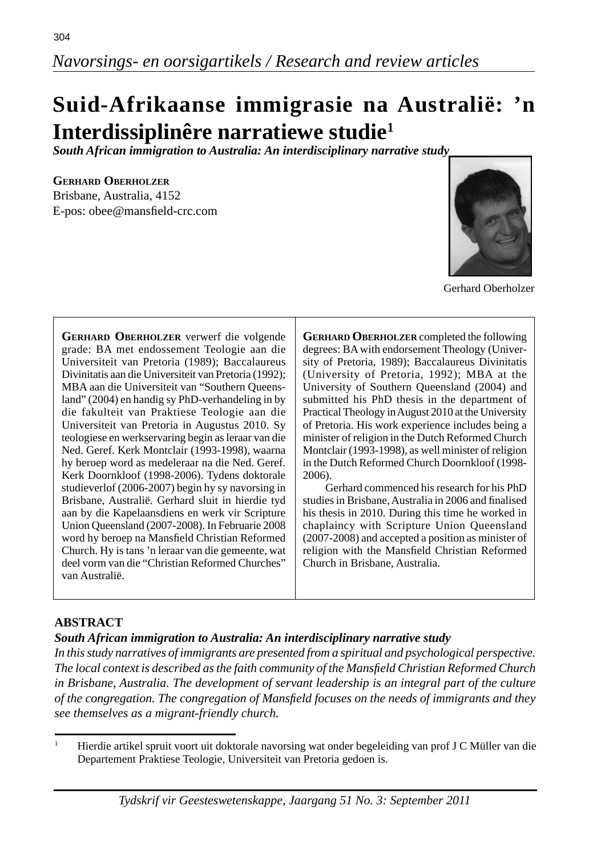# **Suid-Afrikaanse immigrasie na Australië: 'n Interdissiplinêre narratiewe studie1**

*South African immigration to Australia: An interdisciplinary narrative study*

#### **GERHARD OBERHOLZER**

Brisbane, Australia, 4152 E-pos: obee@mansfield-crc.com



Gerhard Oberholzer

**GERHARD OBERHOLZER** verwerf die volgende grade: BA met endossement Teologie aan die Universiteit van Pretoria (1989); Baccalaureus Divinitatis aan die Universiteit van Pretoria (1992); MBA aan die Universiteit van "Southern Queensland" (2004) en handig sy PhD-verhandeling in by die fakulteit van Praktiese Teologie aan die Universiteit van Pretoria in Augustus 2010. Sy teologiese en werkservaring begin as leraar van die Ned. Geref. Kerk Montclair (1993-1998), waarna hy beroep word as medeleraar na die Ned. Geref. Kerk Doornkloof (1998-2006). Tydens doktorale studieverlof (2006-2007) begin hy sy navorsing in Brisbane, Australië. Gerhard sluit in hierdie tyd aan by die Kapelaansdiens en werk vir Scripture Union Queensland (2007-2008). In Februarie 2008 word hy beroep na Mansfield Christian Reformed Church. Hy is tans 'n leraar van die gemeente, wat deel vorm van die "Christian Reformed Churches" van Australië.

**GERHARD OBERHOLZER** completed the following degrees: BA with endorsement Theology (University of Pretoria, 1989); Baccalaureus Divinitatis (University of Pretoria, 1992); MBA at the University of Southern Queensland (2004) and submitted his PhD thesis in the department of Practical Theology in August 2010 at the University of Pretoria. His work experience includes being a minister of religion in the Dutch Reformed Church Montclair (1993-1998), as well minister of religion in the Dutch Reformed Church Doornkloof (1998- 2006).

 Gerhard commenced his research for his PhD studies in Brisbane, Australia in 2006 and finalised his thesis in 2010. During this time he worked in chaplaincy with Scripture Union Queensland (2007-2008) and accepted a position as minister of religion with the Mansfield Christian Reformed Church in Brisbane, Australia.

### **ABSTRACT**

### *South African immigration to Australia: An interdisciplinary narrative study*

*In this study narratives of immigrants are presented from a spiritual and psychological perspective. The local context is described as the faith community of the Mansfi eld Christian Reformed Church in Brisbane, Australia. The development of servant leadership is an integral part of the culture of the congregation. The congregation of Mansfi eld focuses on the needs of immigrants and they see themselves as a migrant-friendly church.*

<sup>1</sup> Hierdie artikel spruit voort uit doktorale navorsing wat onder begeleiding van prof J C Müller van die Departement Praktiese Teologie, Universiteit van Pretoria gedoen is.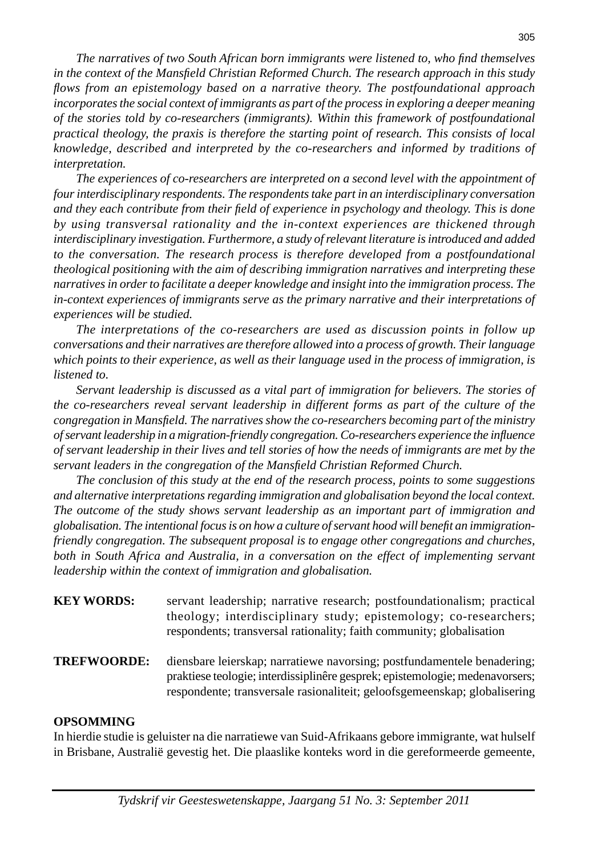*The narratives of two South African born immigrants were listened to, who find themselves in the context of the Mansfi eld Christian Reformed Church. The research approach in this study fl ows from an epistemology based on a narrative theory. The postfoundational approach incorporates the social context of immigrants as part of the process in exploring a deeper meaning of the stories told by co-researchers (immigrants). Within this framework of postfoundational practical theology, the praxis is therefore the starting point of research. This consists of local knowledge, described and interpreted by the co-researchers and informed by traditions of interpretation.*

 *The experiences of co-researchers are interpreted on a second level with the appointment of four interdisciplinary respondents. The respondents take part in an interdisciplinary conversation and they each contribute from their fi eld of experience in psychology and theology. This is done by using transversal rationality and the in-context experiences are thickened through interdisciplinary investigation. Furthermore, a study of relevant literature is introduced and added to the conversation. The research process is therefore developed from a postfoundational theological positioning with the aim of describing immigration narratives and interpreting these narratives in order to facilitate a deeper knowledge and insight into the immigration process. The in-context experiences of immigrants serve as the primary narrative and their interpretations of experiences will be studied.* 

*The interpretations of the co-researchers are used as discussion points in follow up conversations and their narratives are therefore allowed into a process of growth. Their language which points to their experience, as well as their language used in the process of immigration, is listened to.* 

 *Servant leadership is discussed as a vital part of immigration for believers. The stories of the co-researchers reveal servant leadership in different forms as part of the culture of the congregation in Mansfi eld. The narratives show the co-researchers becoming part of the ministry of servant leadership in a migration-friendly congregation. Co-researchers experience the infl uence of servant leadership in their lives and tell stories of how the needs of immigrants are met by the servant leaders in the congregation of the Mansfield Christian Reformed Church.* 

 *The conclusion of this study at the end of the research process, points to some suggestions and alternative interpretations regarding immigration and globalisation beyond the local context. The outcome of the study shows servant leadership as an important part of immigration and globalisation. The intentional focus is on how a culture of servant hood will benefi t an immigrationfriendly congregation. The subsequent proposal is to engage other congregations and churches,*  both in South Africa and Australia, in a conversation on the effect of implementing servant *leadership within the context of immigration and globalisation.* 

- **KEY WORDS:** servant leadership; narrative research; postfoundationalism; practical theology; interdisciplinary study; epistemology; co-researchers; respondents; transversal rationality; faith community; globalisation
- **TREFWOORDE:** diensbare leierskap; narratiewe navorsing; postfundamentele benadering; praktiese teologie; interdissiplinêre gesprek; epistemologie; medenavorsers; respondente; transversale rasionaliteit; geloofsgemeenskap; globalisering

#### **OPSOMMING**

In hierdie studie is geluister na die narratiewe van Suid-Afrikaans gebore immigrante, wat hulself in Brisbane, Australië gevestig het. Die plaaslike konteks word in die gereformeerde gemeente,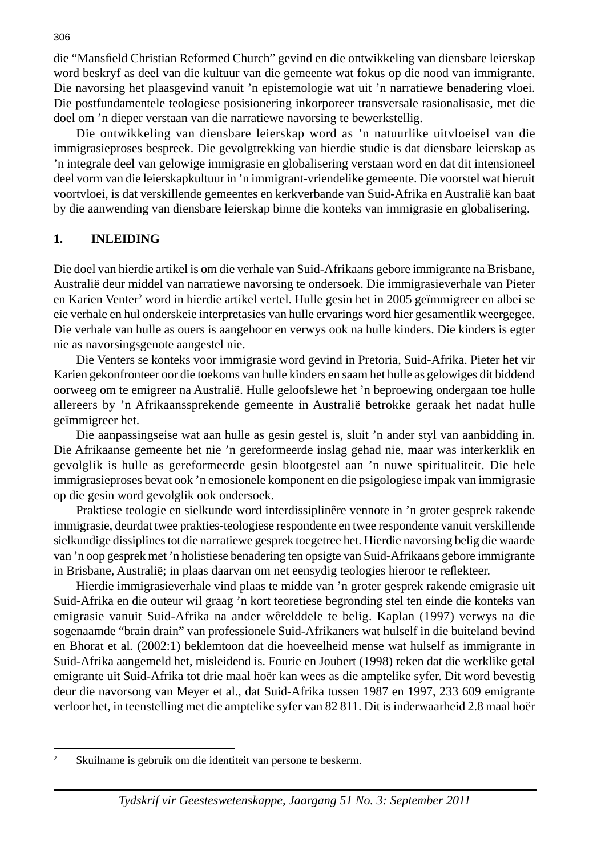die "Mansfield Christian Reformed Church" gevind en die ontwikkeling van diensbare leierskap word beskryf as deel van die kultuur van die gemeente wat fokus op die nood van immigrante. Die navorsing het plaasgevind vanuit 'n epistemologie wat uit 'n narratiewe benadering vloei. Die postfundamentele teologiese posisionering inkorporeer transversale rasionalisasie, met die doel om 'n dieper verstaan van die narratiewe navorsing te bewerkstellig.

 Die ontwikkeling van diensbare leierskap word as 'n natuurlike uitvloeisel van die immigrasieproses bespreek. Die gevolgtrekking van hierdie studie is dat diensbare leierskap as 'n integrale deel van gelowige immigrasie en globalisering verstaan word en dat dit intensioneel deel vorm van die leierskapkultuur in 'n immigrant-vriendelike gemeente. Die voorstel wat hieruit voortvloei, is dat verskillende gemeentes en kerkverbande van Suid-Afrika en Australië kan baat by die aanwending van diensbare leierskap binne die konteks van immigrasie en globalisering.

#### **1. INLEIDING**

Die doel van hierdie artikel is om die verhale van Suid-Afrikaans gebore immigrante na Brisbane, Australië deur middel van narratiewe navorsing te ondersoek. Die immigrasieverhale van Pieter en Karien Venter<sup>2</sup> word in hierdie artikel vertel. Hulle gesin het in 2005 geïmmigreer en albei se eie verhale en hul onderskeie interpretasies van hulle ervarings word hier gesamentlik weergegee. Die verhale van hulle as ouers is aangehoor en verwys ook na hulle kinders. Die kinders is egter nie as navorsingsgenote aangestel nie.

 Die Venters se konteks voor immigrasie word gevind in Pretoria, Suid-Afrika. Pieter het vir Karien gekonfronteer oor die toekoms van hulle kinders en saam het hulle as gelowiges dit biddend oorweeg om te emigreer na Australië. Hulle geloofslewe het 'n beproewing ondergaan toe hulle allereers by 'n Afrikaanssprekende gemeente in Australië betrokke geraak het nadat hulle geïmmigreer het.

 Die aanpassingseise wat aan hulle as gesin gestel is, sluit 'n ander styl van aanbidding in. Die Afrikaanse gemeente het nie 'n gereformeerde inslag gehad nie, maar was interkerklik en gevolglik is hulle as gereformeerde gesin blootgestel aan 'n nuwe spiritualiteit. Die hele immigrasieproses bevat ook 'n emosionele komponent en die psigologiese impak van immigrasie op die gesin word gevolglik ook ondersoek.

 Praktiese teologie en sielkunde word interdissiplinêre vennote in 'n groter gesprek rakende immigrasie, deurdat twee prakties-teologiese respondente en twee respondente vanuit verskillende sielkundige dissiplines tot die narratiewe gesprek toegetree het. Hierdie navorsing belig die waarde van 'n oop gesprek met 'n holistiese benadering ten opsigte van Suid-Afrikaans gebore immigrante in Brisbane, Australië; in plaas daarvan om net eensydig teologies hieroor te reflekteer.

 Hierdie immigrasieverhale vind plaas te midde van 'n groter gesprek rakende emigrasie uit Suid-Afrika en die outeur wil graag 'n kort teoretiese begronding stel ten einde die konteks van emigrasie vanuit Suid-Afrika na ander wêrelddele te belig. Kaplan (1997) verwys na die sogenaamde "brain drain" van professionele Suid-Afrikaners wat hulself in die buiteland bevind en Bhorat et al*.* (2002:1) beklemtoon dat die hoeveelheid mense wat hulself as immigrante in Suid-Afrika aangemeld het, misleidend is. Fourie en Joubert (1998) reken dat die werklike getal emigrante uit Suid-Afrika tot drie maal hoër kan wees as die amptelike syfer. Dit word bevestig deur die navorsong van Meyer et al.*,* dat Suid-Afrika tussen 1987 en 1997, 233 609 emigrante verloor het, in teenstelling met die amptelike syfer van 82 811. Dit is inderwaarheid 2.8 maal hoër

<sup>2</sup> Skuilname is gebruik om die identiteit van persone te beskerm.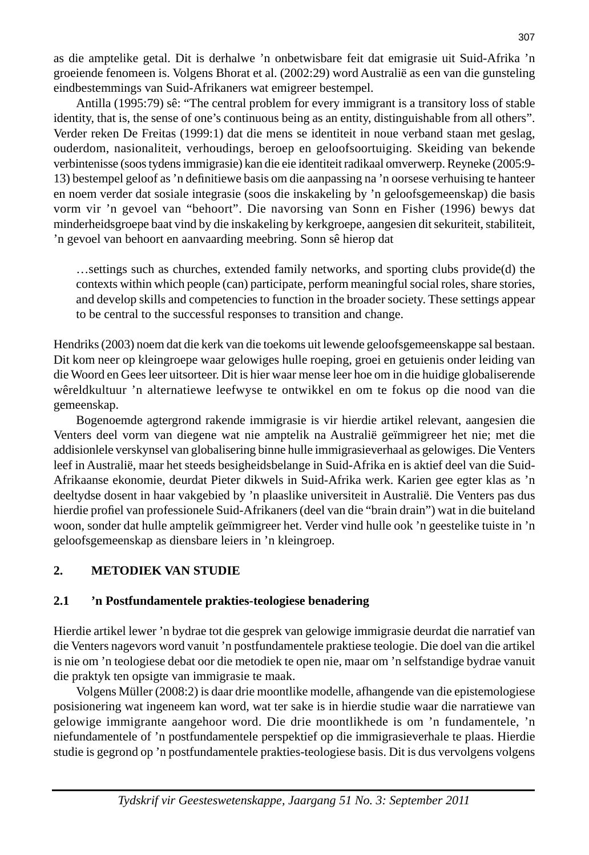as die amptelike getal. Dit is derhalwe 'n onbetwisbare feit dat emigrasie uit Suid-Afrika 'n groeiende fenomeen is. Volgens Bhorat et al. (2002:29) word Australië as een van die gunsteling eindbestemmings van Suid-Afrikaners wat emigreer bestempel.

 Antilla (1995:79) sê: "The central problem for every immigrant is a transitory loss of stable identity, that is, the sense of one's continuous being as an entity, distinguishable from all others". Verder reken De Freitas (1999:1) dat die mens se identiteit in noue verband staan met geslag, ouderdom, nasionaliteit, verhoudings, beroep en geloofsoortuiging. Skeiding van bekende verbintenisse (soos tydens immigrasie) kan die eie identiteit radikaal omverwerp. Reyneke (2005:9- 13) bestempel geloof as 'n definitiewe basis om die aanpassing na 'n oorsese verhuising te hanteer en noem verder dat sosiale integrasie (soos die inskakeling by 'n geloofsgemeenskap) die basis vorm vir 'n gevoel van "behoort". Die navorsing van Sonn en Fisher (1996) bewys dat minderheidsgroepe baat vind by die inskakeling by kerkgroepe, aangesien dit sekuriteit, stabiliteit, 'n gevoel van behoort en aanvaarding meebring. Sonn sê hierop dat

 …settings such as churches, extended family networks, and sporting clubs provide(d) the contexts within which people (can) participate, perform meaningful social roles, share stories, and develop skills and competencies to function in the broader society. These settings appear to be central to the successful responses to transition and change.

Hendriks (2003) noem dat die kerk van die toekoms uit lewende geloofsgemeenskappe sal bestaan. Dit kom neer op kleingroepe waar gelowiges hulle roeping, groei en getuienis onder leiding van die Woord en Gees leer uitsorteer. Dit is hier waar mense leer hoe om in die huidige globaliserende wêreldkultuur 'n alternatiewe leefwyse te ontwikkel en om te fokus op die nood van die gemeenskap.

 Bogenoemde agtergrond rakende immigrasie is vir hierdie artikel relevant, aangesien die Venters deel vorm van diegene wat nie amptelik na Australië geïmmigreer het nie; met die addisionlele verskynsel van globalisering binne hulle immigrasieverhaal as gelowiges. Die Venters leef in Australië, maar het steeds besigheidsbelange in Suid-Afrika en is aktief deel van die Suid-Afrikaanse ekonomie, deurdat Pieter dikwels in Suid-Afrika werk. Karien gee egter klas as 'n deeltydse dosent in haar vakgebied by 'n plaaslike universiteit in Australië. Die Venters pas dus hierdie profiel van professionele Suid-Afrikaners (deel van die "brain drain") wat in die buiteland woon, sonder dat hulle amptelik geïmmigreer het. Verder vind hulle ook 'n geestelike tuiste in 'n geloofsgemeenskap as diensbare leiers in 'n kleingroep.

### **2. METODIEK VAN STUDIE**

### **2.1 'n Postfundamentele prakties-teologiese benadering**

Hierdie artikel lewer 'n bydrae tot die gesprek van gelowige immigrasie deurdat die narratief van die Venters nagevors word vanuit 'n postfundamentele praktiese teologie. Die doel van die artikel is nie om 'n teologiese debat oor die metodiek te open nie, maar om 'n selfstandige bydrae vanuit die praktyk ten opsigte van immigrasie te maak.

 Volgens Müller (2008:2) is daar drie moontlike modelle, afhangende van die epistemologiese posisionering wat ingeneem kan word, wat ter sake is in hierdie studie waar die narratiewe van gelowige immigrante aangehoor word. Die drie moontlikhede is om 'n fundamentele, 'n niefundamentele of 'n postfundamentele perspektief op die immigrasieverhale te plaas. Hierdie studie is gegrond op 'n postfundamentele prakties-teologiese basis. Dit is dus vervolgens volgens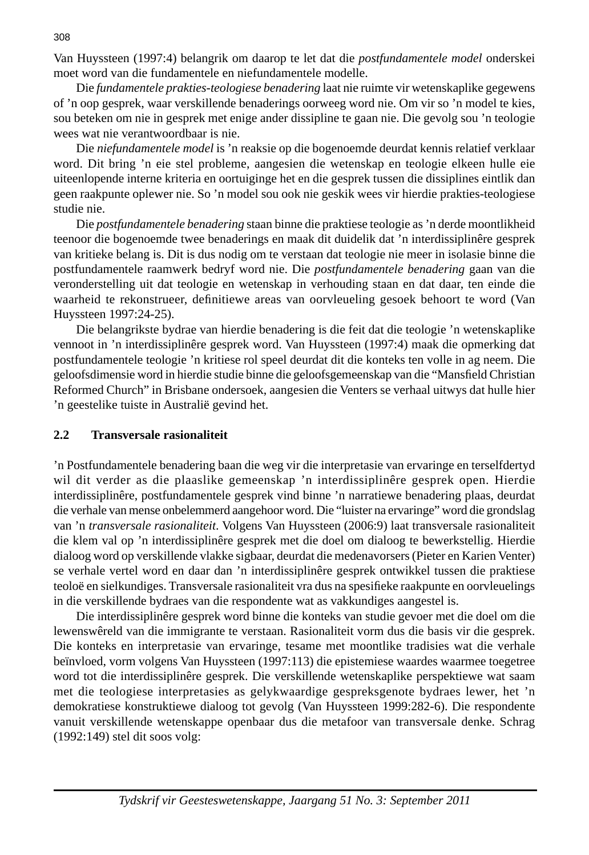Van Huyssteen (1997:4) belangrik om daarop te let dat die *postfundamentele model* onderskei moet word van die fundamentele en niefundamentele modelle.

 Die *fundamentele prakties-teologiese benadering* laat nie ruimte vir wetenskaplike gegewens of 'n oop gesprek, waar verskillende benaderings oorweeg word nie. Om vir so 'n model te kies, sou beteken om nie in gesprek met enige ander dissipline te gaan nie. Die gevolg sou 'n teologie wees wat nie verantwoordbaar is nie.

 Die *niefundamentele model* is 'n reaksie op die bogenoemde deurdat kennis relatief verklaar word. Dit bring 'n eie stel probleme, aangesien die wetenskap en teologie elkeen hulle eie uiteenlopende interne kriteria en oortuiginge het en die gesprek tussen die dissiplines eintlik dan geen raakpunte oplewer nie. So 'n model sou ook nie geskik wees vir hierdie prakties-teologiese studie nie.

 Die *postfundamentele benadering* staan binne die praktiese teologie as 'n derde moontlikheid teenoor die bogenoemde twee benaderings en maak dit duidelik dat 'n interdissiplinêre gesprek van kritieke belang is. Dit is dus nodig om te verstaan dat teologie nie meer in isolasie binne die postfundamentele raamwerk bedryf word nie. Die *postfundamentele benadering* gaan van die veronderstelling uit dat teologie en wetenskap in verhouding staan en dat daar, ten einde die waarheid te rekonstrueer, definitiewe areas van oorvleueling gesoek behoort te word (Van Huyssteen 1997:24-25).

 Die belangrikste bydrae van hierdie benadering is die feit dat die teologie 'n wetenskaplike vennoot in 'n interdissiplinêre gesprek word. Van Huyssteen (1997:4) maak die opmerking dat postfundamentele teologie 'n kritiese rol speel deurdat dit die konteks ten volle in ag neem. Die geloofsdimensie word in hierdie studie binne die geloofsgemeenskap van die "Mansfield Christian Reformed Church" in Brisbane ondersoek, aangesien die Venters se verhaal uitwys dat hulle hier 'n geestelike tuiste in Australië gevind het.

#### **2.2 Transversale rasionaliteit**

'n Postfundamentele benadering baan die weg vir die interpretasie van ervaringe en terselfdertyd wil dit verder as die plaaslike gemeenskap 'n interdissiplinêre gesprek open. Hierdie interdissiplinêre, postfundamentele gesprek vind binne 'n narratiewe benadering plaas, deurdat die verhale van mense onbelemmerd aangehoor word. Die "luister na ervaringe" word die grondslag van 'n *transversale rasionaliteit*. Volgens Van Huyssteen (2006:9) laat transversale rasionaliteit die klem val op 'n interdissiplinêre gesprek met die doel om dialoog te bewerkstellig. Hierdie dialoog word op verskillende vlakke sigbaar, deurdat die medenavorsers (Pieter en Karien Venter) se verhale vertel word en daar dan 'n interdissiplinêre gesprek ontwikkel tussen die praktiese teoloë en sielkundiges. Transversale rasionaliteit vra dus na spesifieke raakpunte en oorvleuelings in die verskillende bydraes van die respondente wat as vakkundiges aangestel is.

 Die interdissiplinêre gesprek word binne die konteks van studie gevoer met die doel om die lewenswêreld van die immigrante te verstaan. Rasionaliteit vorm dus die basis vir die gesprek. Die konteks en interpretasie van ervaringe, tesame met moontlike tradisies wat die verhale beïnvloed, vorm volgens Van Huyssteen (1997:113) die epistemiese waardes waarmee toegetree word tot die interdissiplinêre gesprek. Die verskillende wetenskaplike perspektiewe wat saam met die teologiese interpretasies as gelykwaardige gespreksgenote bydraes lewer, het 'n demokratiese konstruktiewe dialoog tot gevolg (Van Huyssteen 1999:282-6). Die respondente vanuit verskillende wetenskappe openbaar dus die metafoor van transversale denke. Schrag (1992:149) stel dit soos volg: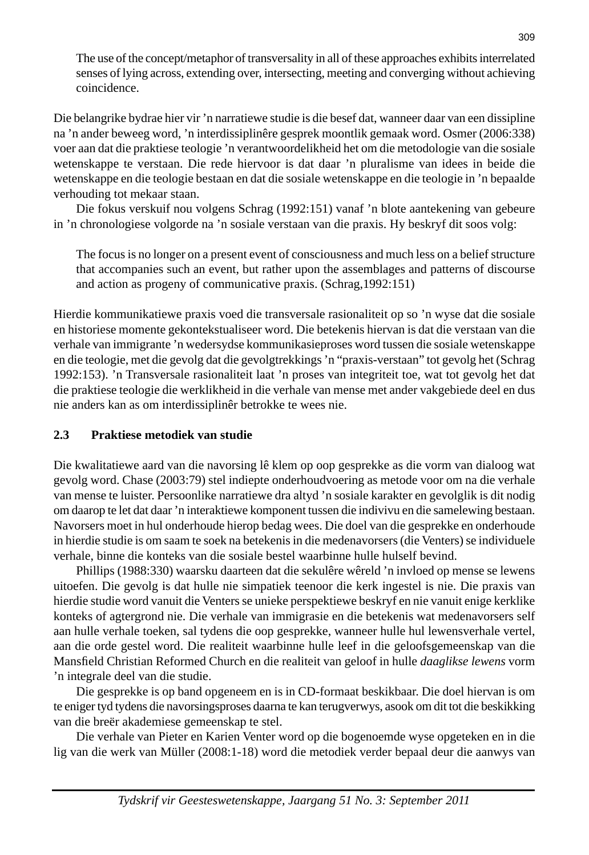The use of the concept/metaphor of transversality in all of these approaches exhibits interrelated senses of lying across, extending over, intersecting, meeting and converging without achieving coincidence.

Die belangrike bydrae hier vir 'n narratiewe studie is die besef dat, wanneer daar van een dissipline na 'n ander beweeg word, 'n interdissiplinêre gesprek moontlik gemaak word. Osmer (2006:338) voer aan dat die praktiese teologie 'n verantwoordelikheid het om die metodologie van die sosiale wetenskappe te verstaan. Die rede hiervoor is dat daar 'n pluralisme van idees in beide die wetenskappe en die teologie bestaan en dat die sosiale wetenskappe en die teologie in 'n bepaalde verhouding tot mekaar staan.

 Die fokus verskuif nou volgens Schrag (1992:151) vanaf 'n blote aantekening van gebeure in 'n chronologiese volgorde na 'n sosiale verstaan van die praxis. Hy beskryf dit soos volg:

 The focus is no longer on a present event of consciousness and much less on a belief structure that accompanies such an event, but rather upon the assemblages and patterns of discourse and action as progeny of communicative praxis. (Schrag,1992:151)

Hierdie kommunikatiewe praxis voed die transversale rasionaliteit op so 'n wyse dat die sosiale en historiese momente gekontekstualiseer word. Die betekenis hiervan is dat die verstaan van die verhale van immigrante 'n wedersydse kommunikasieproses word tussen die sosiale wetenskappe en die teologie, met die gevolg dat die gevolgtrekkings 'n "praxis-verstaan" tot gevolg het (Schrag 1992:153). 'n Transversale rasionaliteit laat 'n proses van integriteit toe, wat tot gevolg het dat die praktiese teologie die werklikheid in die verhale van mense met ander vakgebiede deel en dus nie anders kan as om interdissiplinêr betrokke te wees nie.

### **2.3 Praktiese metodiek van studie**

Die kwalitatiewe aard van die navorsing lê klem op oop gesprekke as die vorm van dialoog wat gevolg word. Chase (2003:79) stel indiepte onderhoudvoering as metode voor om na die verhale van mense te luister. Persoonlike narratiewe dra altyd 'n sosiale karakter en gevolglik is dit nodig om daarop te let dat daar 'n interaktiewe komponent tussen die indivivu en die samelewing bestaan. Navorsers moet in hul onderhoude hierop bedag wees. Die doel van die gesprekke en onderhoude in hierdie studie is om saam te soek na betekenis in die medenavorsers (die Venters) se individuele verhale, binne die konteks van die sosiale bestel waarbinne hulle hulself bevind.

 Phillips (1988:330) waarsku daarteen dat die sekulêre wêreld 'n invloed op mense se lewens uitoefen. Die gevolg is dat hulle nie simpatiek teenoor die kerk ingestel is nie. Die praxis van hierdie studie word vanuit die Venters se unieke perspektiewe beskryf en nie vanuit enige kerklike konteks of agtergrond nie. Die verhale van immigrasie en die betekenis wat medenavorsers self aan hulle verhale toeken, sal tydens die oop gesprekke, wanneer hulle hul lewensverhale vertel, aan die orde gestel word. Die realiteit waarbinne hulle leef in die geloofsgemeenskap van die Mansfi eld Christian Reformed Church en die realiteit van geloof in hulle *daaglikse lewens* vorm 'n integrale deel van die studie.

 Die gesprekke is op band opgeneem en is in CD-formaat beskikbaar. Die doel hiervan is om te eniger tyd tydens die navorsingsproses daarna te kan terugverwys, asook om dit tot die beskikking van die breër akademiese gemeenskap te stel.

 Die verhale van Pieter en Karien Venter word op die bogenoemde wyse opgeteken en in die lig van die werk van Müller (2008:1-18) word die metodiek verder bepaal deur die aanwys van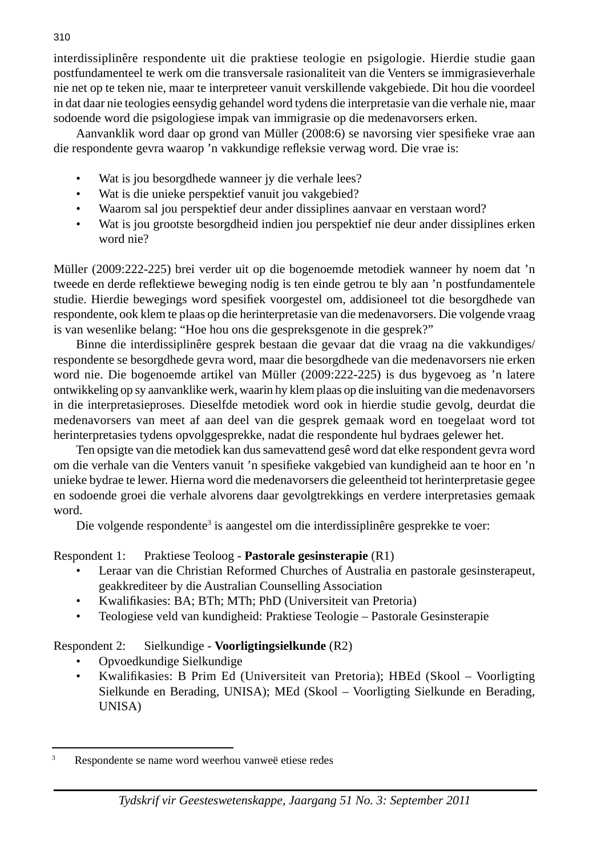interdissiplinêre respondente uit die praktiese teologie en psigologie. Hierdie studie gaan postfundamenteel te werk om die transversale rasionaliteit van die Venters se immigrasieverhale nie net op te teken nie, maar te interpreteer vanuit verskillende vakgebiede. Dit hou die voordeel in dat daar nie teologies eensydig gehandel word tydens die interpretasie van die verhale nie, maar sodoende word die psigologiese impak van immigrasie op die medenavorsers erken.

Aanvanklik word daar op grond van Müller (2008:6) se navorsing vier spesifieke vrae aan die respondente gevra waarop 'n vakkundige refleksie verwag word. Die vrae is:

- Wat is jou besorgdhede wanneer jy die verhale lees?
- Wat is die unieke perspektief vanuit jou vakgebied?
- Waarom sal jou perspektief deur ander dissiplines aanvaar en verstaan word?
- Wat is jou grootste besorgdheid indien jou perspektief nie deur ander dissiplines erken word nie?

Müller (2009:222-225) brei verder uit op die bogenoemde metodiek wanneer hy noem dat 'n tweede en derde reflektiewe beweging nodig is ten einde getrou te bly aan 'n postfundamentele studie. Hierdie bewegings word spesifiek voorgestel om, addisioneel tot die besorgdhede van respondente, ook klem te plaas op die herinterpretasie van die medenavorsers. Die volgende vraag is van wesenlike belang: "Hoe hou ons die gespreksgenote in die gesprek?"

 Binne die interdissiplinêre gesprek bestaan die gevaar dat die vraag na die vakkundiges/ respondente se besorgdhede gevra word, maar die besorgdhede van die medenavorsers nie erken word nie. Die bogenoemde artikel van Müller (2009:222-225) is dus bygevoeg as 'n latere ontwikkeling op sy aanvanklike werk, waarin hy klem plaas op die insluiting van die medenavorsers in die interpretasieproses. Dieselfde metodiek word ook in hierdie studie gevolg, deurdat die medenavorsers van meet af aan deel van die gesprek gemaak word en toegelaat word tot herinterpretasies tydens opvolggesprekke, nadat die respondente hul bydraes gelewer het.

 Ten opsigte van die metodiek kan dus samevattend gesê word dat elke respondent gevra word om die verhale van die Venters vanuit 'n spesifieke vakgebied van kundigheid aan te hoor en 'n unieke bydrae te lewer. Hierna word die medenavorsers die geleentheid tot herinterpretasie gegee en sodoende groei die verhale alvorens daar gevolgtrekkings en verdere interpretasies gemaak word.

Die volgende respondente<sup>3</sup> is aangestel om die interdissiplinêre gesprekke te voer:

### Respondent 1: Praktiese Teoloog - **Pastorale gesinsterapie** (R1)

- Leraar van die Christian Reformed Churches of Australia en pastorale gesinsterapeut, geakkrediteer by die Australian Counselling Association
- Kwalifikasies: BA; BTh; MTh; PhD (Universiteit van Pretoria)
- Teologiese veld van kundigheid: Praktiese Teologie Pastorale Gesinsterapie

### Respondent 2: Sielkundige - **Voorligtingsielkunde** (R2)

- Opvoedkundige Sielkundige
- Kwalifi kasies: B Prim Ed (Universiteit van Pretoria); HBEd (Skool Voorligting Sielkunde en Berading, UNISA); MEd (Skool – Voorligting Sielkunde en Berading, UNISA)

<sup>3</sup> Respondente se name word weerhou vanweë etiese redes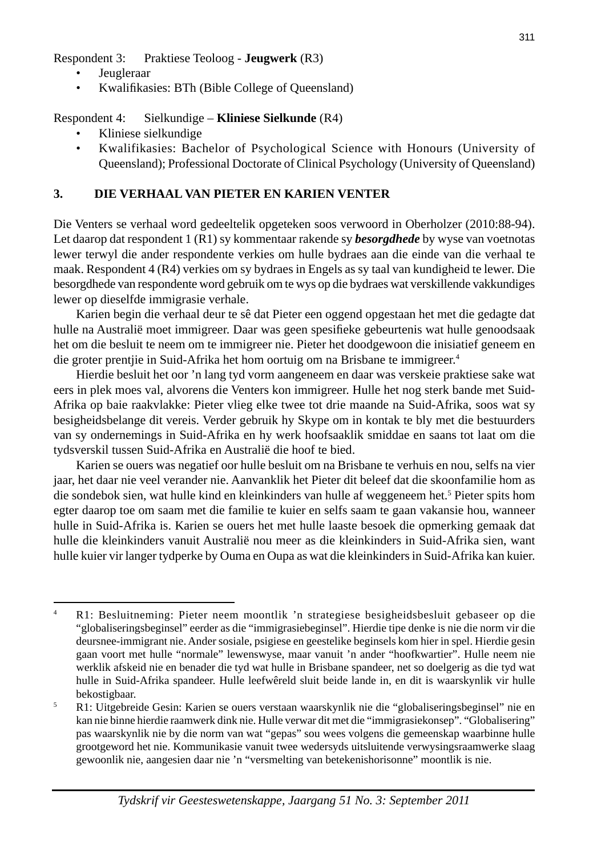Respondent 3: Praktiese Teoloog - **Jeugwerk** (R3)

- **Jeugleraar**
- Kwalifi kasies: BTh (Bible College of Queensland)

#### Respondent 4: Sielkundige – **Kliniese Sielkunde** (R4)

- Kliniese sielkundige
- Kwalifikasies: Bachelor of Psychological Science with Honours (University of Queensland); Professional Doctorate of Clinical Psychology (University of Queensland)

#### **3. DIE VERHAAL VAN PIETER EN KARIEN VENTER**

Die Venters se verhaal word gedeeltelik opgeteken soos verwoord in Oberholzer (2010:88-94). Let daarop dat respondent 1 (R1) sy kommentaar rakende sy *besorgdhede* by wyse van voetnotas lewer terwyl die ander respondente verkies om hulle bydraes aan die einde van die verhaal te maak. Respondent 4 (R4) verkies om sy bydraes in Engels as sy taal van kundigheid te lewer. Die besorgdhede van respondente word gebruik om te wys op die bydraes wat verskillende vakkundiges lewer op dieselfde immigrasie verhale.

 Karien begin die verhaal deur te sê dat Pieter een oggend opgestaan het met die gedagte dat hulle na Australië moet immigreer. Daar was geen spesifieke gebeurtenis wat hulle genoodsaak het om die besluit te neem om te immigreer nie. Pieter het doodgewoon die inisiatief geneem en die groter prentjie in Suid-Afrika het hom oortuig om na Brisbane te immigreer.4

 Hierdie besluit het oor 'n lang tyd vorm aangeneem en daar was verskeie praktiese sake wat eers in plek moes val, alvorens die Venters kon immigreer. Hulle het nog sterk bande met Suid-Afrika op baie raakvlakke: Pieter vlieg elke twee tot drie maande na Suid-Afrika, soos wat sy besigheidsbelange dit vereis. Verder gebruik hy Skype om in kontak te bly met die bestuurders van sy ondernemings in Suid-Afrika en hy werk hoofsaaklik smiddae en saans tot laat om die tydsverskil tussen Suid-Afrika en Australië die hoof te bied.

 Karien se ouers was negatief oor hulle besluit om na Brisbane te verhuis en nou, selfs na vier jaar, het daar nie veel verander nie. Aanvanklik het Pieter dit beleef dat die skoonfamilie hom as die sondebok sien, wat hulle kind en kleinkinders van hulle af weggeneem het.<sup>5</sup> Pieter spits hom egter daarop toe om saam met die familie te kuier en selfs saam te gaan vakansie hou, wanneer hulle in Suid-Afrika is. Karien se ouers het met hulle laaste besoek die opmerking gemaak dat hulle die kleinkinders vanuit Australië nou meer as die kleinkinders in Suid-Afrika sien, want hulle kuier vir langer tydperke by Ouma en Oupa as wat die kleinkinders in Suid-Afrika kan kuier.

<sup>4</sup> R1: Besluitneming: Pieter neem moontlik 'n strategiese besigheidsbesluit gebaseer op die "globaliseringsbeginsel" eerder as die "immigrasiebeginsel". Hierdie tipe denke is nie die norm vir die deursnee-immigrant nie. Ander sosiale, psigiese en geestelike beginsels kom hier in spel. Hierdie gesin gaan voort met hulle "normale" lewenswyse, maar vanuit 'n ander "hoofkwartier". Hulle neem nie werklik afskeid nie en benader die tyd wat hulle in Brisbane spandeer, net so doelgerig as die tyd wat hulle in Suid-Afrika spandeer. Hulle leefwêreld sluit beide lande in, en dit is waarskynlik vir hulle bekostigbaar.<br> $\overline{P} = \overline{P}1 \cdot \text{Uitgebrei}$ 

R1: Uitgebreide Gesin: Karien se ouers verstaan waarskynlik nie die "globaliseringsbeginsel" nie en kan nie binne hierdie raamwerk dink nie. Hulle verwar dit met die "immigrasiekonsep". "Globalisering" pas waarskynlik nie by die norm van wat "gepas" sou wees volgens die gemeenskap waarbinne hulle grootgeword het nie. Kommunikasie vanuit twee wedersyds uitsluitende verwysingsraamwerke slaag gewoonlik nie, aangesien daar nie 'n "versmelting van betekenishorisonne" moontlik is nie.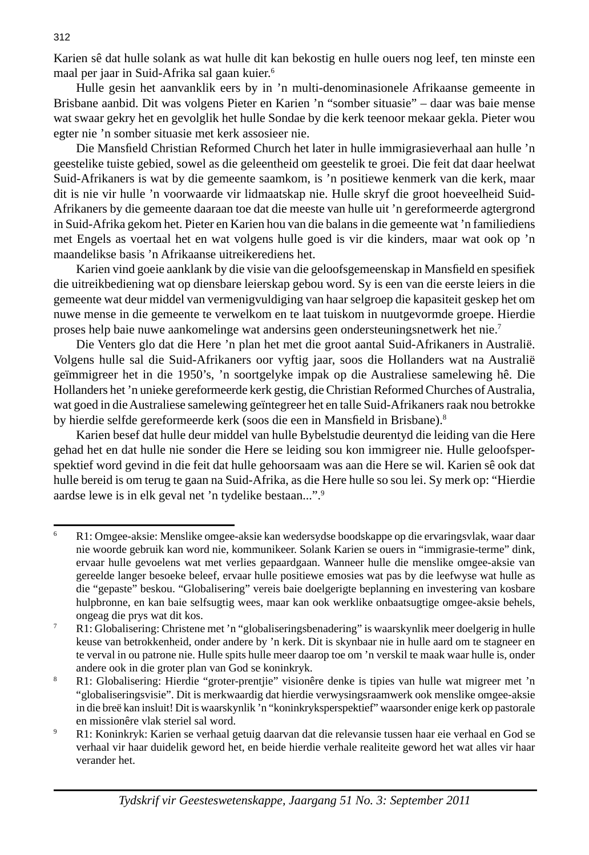Karien sê dat hulle solank as wat hulle dit kan bekostig en hulle ouers nog leef, ten minste een maal per jaar in Suid-Afrika sal gaan kuier.6

 Hulle gesin het aanvanklik eers by in 'n multi-denominasionele Afrikaanse gemeente in Brisbane aanbid. Dit was volgens Pieter en Karien 'n "somber situasie" – daar was baie mense wat swaar gekry het en gevolglik het hulle Sondae by die kerk teenoor mekaar gekla. Pieter wou egter nie 'n somber situasie met kerk assosieer nie.

Die Mansfield Christian Reformed Church het later in hulle immigrasieverhaal aan hulle 'n geestelike tuiste gebied, sowel as die geleentheid om geestelik te groei. Die feit dat daar heelwat Suid-Afrikaners is wat by die gemeente saamkom, is 'n positiewe kenmerk van die kerk, maar dit is nie vir hulle 'n voorwaarde vir lidmaatskap nie. Hulle skryf die groot hoeveelheid Suid-Afrikaners by die gemeente daaraan toe dat die meeste van hulle uit 'n gereformeerde agtergrond in Suid-Afrika gekom het. Pieter en Karien hou van die balans in die gemeente wat 'n familiediens met Engels as voertaal het en wat volgens hulle goed is vir die kinders, maar wat ook op 'n maandelikse basis 'n Afrikaanse uitreikerediens het.

Karien vind goeie aanklank by die visie van die geloofsgemeenskap in Mansfield en spesifiek die uitreikbediening wat op diensbare leierskap gebou word. Sy is een van die eerste leiers in die gemeente wat deur middel van vermenigvuldiging van haar selgroep die kapasiteit geskep het om nuwe mense in die gemeente te verwelkom en te laat tuiskom in nuutgevormde groepe. Hierdie proses help baie nuwe aankomelinge wat andersins geen ondersteuningsnetwerk het nie.7

 Die Venters glo dat die Here 'n plan het met die groot aantal Suid-Afrikaners in Australië. Volgens hulle sal die Suid-Afrikaners oor vyftig jaar, soos die Hollanders wat na Australië geïmmigreer het in die 1950's, 'n soortgelyke impak op die Australiese samelewing hê. Die Hollanders het 'n unieke gereformeerde kerk gestig, die Christian Reformed Churches of Australia, wat goed in die Australiese samelewing geïntegreer het en talle Suid-Afrikaners raak nou betrokke by hierdie selfde gereformeerde kerk (soos die een in Mansfield in Brisbane).<sup>8</sup>

 Karien besef dat hulle deur middel van hulle Bybelstudie deurentyd die leiding van die Here gehad het en dat hulle nie sonder die Here se leiding sou kon immigreer nie. Hulle geloofsperspektief word gevind in die feit dat hulle gehoorsaam was aan die Here se wil. Karien sê ook dat hulle bereid is om terug te gaan na Suid-Afrika, as die Here hulle so sou lei. Sy merk op: "Hierdie aardse lewe is in elk geval net 'n tydelike bestaan...".9

<sup>6</sup> R1: Omgee-aksie: Menslike omgee-aksie kan wedersydse boodskappe op die ervaringsvlak, waar daar nie woorde gebruik kan word nie, kommunikeer. Solank Karien se ouers in "immigrasie-terme" dink, ervaar hulle gevoelens wat met verlies gepaardgaan. Wanneer hulle die menslike omgee-aksie van gereelde langer besoeke beleef, ervaar hulle positiewe emosies wat pas by die leefwyse wat hulle as die "gepaste" beskou. "Globalisering" vereis baie doelgerigte beplanning en investering van kosbare hulpbronne, en kan baie selfsugtig wees, maar kan ook werklike onbaatsugtige omgee-aksie behels, ongeag die prys wat dit kos.<br><sup>7</sup> P<sub>1</sub>: Globalisaring: Christene

R1: Globalisering: Christene met 'n "globaliseringsbenadering" is waarskynlik meer doelgerig in hulle keuse van betrokkenheid, onder andere by 'n kerk. Dit is skynbaar nie in hulle aard om te stagneer en te verval in ou patrone nie. Hulle spits hulle meer daarop toe om 'n verskil te maak waar hulle is, onder andere ook in die groter plan van God se koninkryk.

<sup>8</sup> R1: Globalisering: Hierdie "groter-prentjie" visionêre denke is tipies van hulle wat migreer met 'n "globaliseringsvisie". Dit is merkwaardig dat hierdie verwysingsraamwerk ook menslike omgee-aksie in die breë kan insluit! Dit is waarskynlik 'n "koninkryksperspektief" waarsonder enige kerk op pastorale en missionêre vlak steriel sal word.

<sup>9</sup> R1: Koninkryk: Karien se verhaal getuig daarvan dat die relevansie tussen haar eie verhaal en God se verhaal vir haar duidelik geword het, en beide hierdie verhale realiteite geword het wat alles vir haar verander het.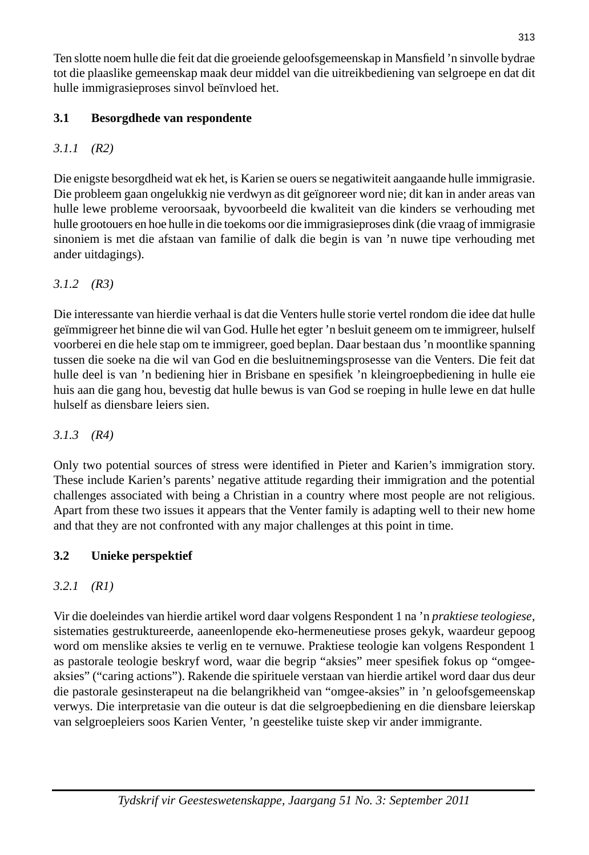Ten slotte noem hulle die feit dat die groeiende geloofsgemeenskap in Mansfield 'n sinvolle bydrae tot die plaaslike gemeenskap maak deur middel van die uitreikbediening van selgroepe en dat dit hulle immigrasieproses sinvol beïnvloed het.

# **3.1 Besorgdhede van respondente**

# *3.1.1 (R2)*

Die enigste besorgdheid wat ek het, is Karien se ouers se negatiwiteit aangaande hulle immigrasie. Die probleem gaan ongelukkig nie verdwyn as dit geïgnoreer word nie; dit kan in ander areas van hulle lewe probleme veroorsaak, byvoorbeeld die kwaliteit van die kinders se verhouding met hulle grootouers en hoe hulle in die toekoms oor die immigrasieproses dink (die vraag of immigrasie sinoniem is met die afstaan van familie of dalk die begin is van 'n nuwe tipe verhouding met ander uitdagings).

# *3.1.2 (R3)*

Die interessante van hierdie verhaal is dat die Venters hulle storie vertel rondom die idee dat hulle geïmmigreer het binne die wil van God. Hulle het egter 'n besluit geneem om te immigreer, hulself voorberei en die hele stap om te immigreer, goed beplan. Daar bestaan dus 'n moontlike spanning tussen die soeke na die wil van God en die besluitnemingsprosesse van die Venters. Die feit dat hulle deel is van 'n bediening hier in Brisbane en spesifiek 'n kleingroepbediening in hulle eie huis aan die gang hou, bevestig dat hulle bewus is van God se roeping in hulle lewe en dat hulle hulself as diensbare leiers sien.

## *3.1.3 (R4)*

Only two potential sources of stress were identified in Pieter and Karien's immigration story. These include Karien's parents' negative attitude regarding their immigration and the potential challenges associated with being a Christian in a country where most people are not religious. Apart from these two issues it appears that the Venter family is adapting well to their new home and that they are not confronted with any major challenges at this point in time.

## **3.2 Unieke perspektief**

# *3.2.1 (R1)*

Vir die doeleindes van hierdie artikel word daar volgens Respondent 1 na 'n *praktiese teologiese,* sistematies gestruktureerde, aaneenlopende eko-hermeneutiese proses gekyk, waardeur gepoog word om menslike aksies te verlig en te vernuwe. Praktiese teologie kan volgens Respondent 1 as pastorale teologie beskryf word, waar die begrip "aksies" meer spesifiek fokus op "omgeeaksies" ("caring actions"). Rakende die spirituele verstaan van hierdie artikel word daar dus deur die pastorale gesinsterapeut na die belangrikheid van "omgee-aksies" in 'n geloofsgemeenskap verwys. Die interpretasie van die outeur is dat die selgroepbediening en die diensbare leierskap van selgroepleiers soos Karien Venter, 'n geestelike tuiste skep vir ander immigrante.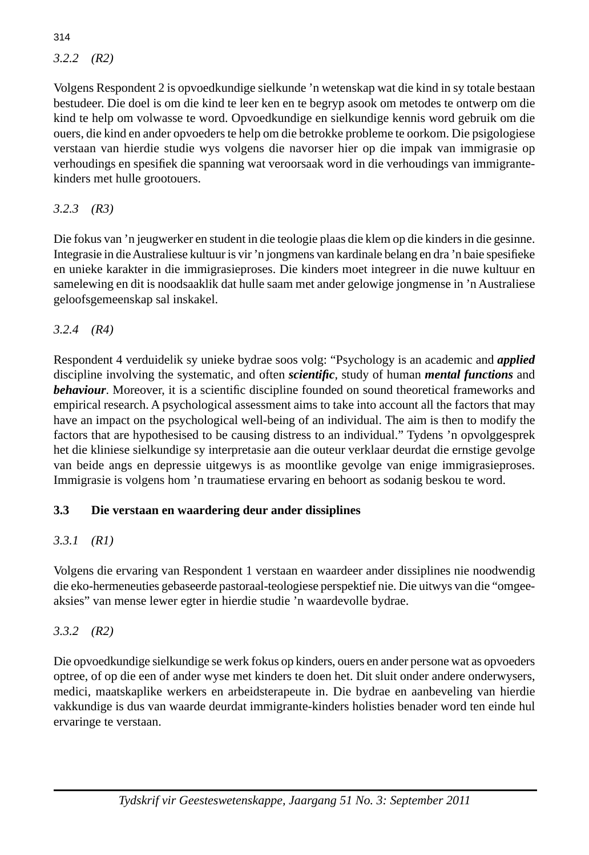*3.2.2 (R2)*

Volgens Respondent 2 is opvoedkundige sielkunde 'n wetenskap wat die kind in sy totale bestaan bestudeer. Die doel is om die kind te leer ken en te begryp asook om metodes te ontwerp om die kind te help om volwasse te word. Opvoedkundige en sielkundige kennis word gebruik om die ouers, die kind en ander opvoeders te help om die betrokke probleme te oorkom. Die psigologiese verstaan van hierdie studie wys volgens die navorser hier op die impak van immigrasie op verhoudings en spesifiek die spanning wat veroorsaak word in die verhoudings van immigrantekinders met hulle grootouers.

*3.2.3 (R3)*

Die fokus van 'n jeugwerker en student in die teologie plaas die klem op die kinders in die gesinne. Integrasie in die Australiese kultuur is vir 'n jongmens van kardinale belang en dra 'n baie spesifieke en unieke karakter in die immigrasieproses. Die kinders moet integreer in die nuwe kultuur en samelewing en dit is noodsaaklik dat hulle saam met ander gelowige jongmense in 'n Australiese geloofsgemeenskap sal inskakel.

*3.2.4 (R4)*

Respondent 4 verduidelik sy unieke bydrae soos volg: "Psychology is an academic and *applied* discipline involving the systematic, and often *scientifi c,* study of human *mental functions* and *behaviour*. Moreover, it is a scientific discipline founded on sound theoretical frameworks and empirical research. A psychological assessment aims to take into account all the factors that may have an impact on the psychological well-being of an individual. The aim is then to modify the factors that are hypothesised to be causing distress to an individual." Tydens 'n opvolggesprek het die kliniese sielkundige sy interpretasie aan die outeur verklaar deurdat die ernstige gevolge van beide angs en depressie uitgewys is as moontlike gevolge van enige immigrasieproses. Immigrasie is volgens hom 'n traumatiese ervaring en behoort as sodanig beskou te word.

## **3.3 Die verstaan en waardering deur ander dissiplines**

## *3.3.1 (R1)*

Volgens die ervaring van Respondent 1 verstaan en waardeer ander dissiplines nie noodwendig die eko-hermeneuties gebaseerde pastoraal-teologiese perspektief nie. Die uitwys van die "omgeeaksies" van mense lewer egter in hierdie studie 'n waardevolle bydrae.

*3.3.2 (R2)*

Die opvoedkundige sielkundige se werk fokus op kinders, ouers en ander persone wat as opvoeders optree, of op die een of ander wyse met kinders te doen het. Dit sluit onder andere onderwysers, medici, maatskaplike werkers en arbeidsterapeute in. Die bydrae en aanbeveling van hierdie vakkundige is dus van waarde deurdat immigrante-kinders holisties benader word ten einde hul ervaringe te verstaan.

314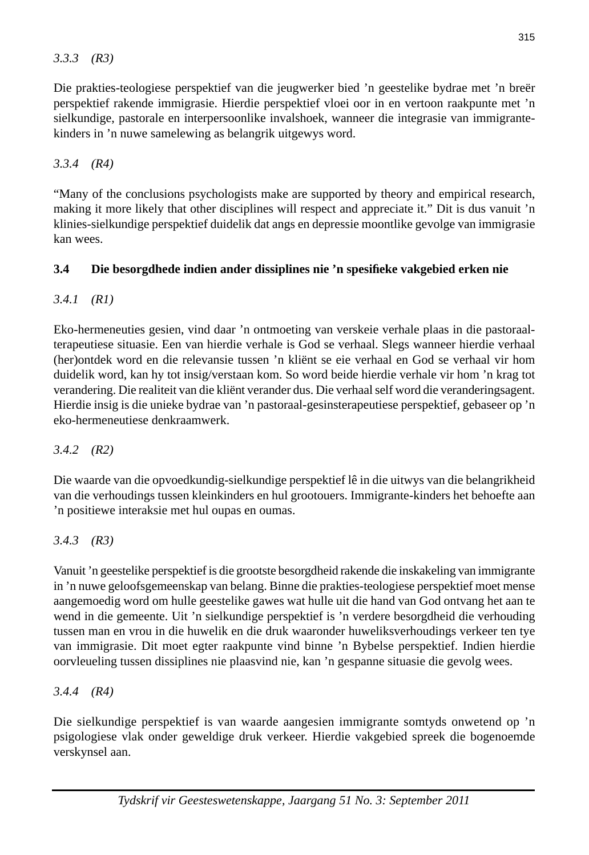Die prakties-teologiese perspektief van die jeugwerker bied 'n geestelike bydrae met 'n breër perspektief rakende immigrasie. Hierdie perspektief vloei oor in en vertoon raakpunte met 'n sielkundige, pastorale en interpersoonlike invalshoek, wanneer die integrasie van immigrantekinders in 'n nuwe samelewing as belangrik uitgewys word.

*3.3.4 (R4)*

"Many of the conclusions psychologists make are supported by theory and empirical research, making it more likely that other disciplines will respect and appreciate it." Dit is dus vanuit 'n klinies-sielkundige perspektief duidelik dat angs en depressie moontlike gevolge van immigrasie kan wees.

### **3.4 Die besorgdhede indien ander dissiplines nie 'n spesifi eke vakgebied erken nie**

*3.4.1 (R1)*

Eko-hermeneuties gesien, vind daar 'n ontmoeting van verskeie verhale plaas in die pastoraalterapeutiese situasie. Een van hierdie verhale is God se verhaal. Slegs wanneer hierdie verhaal (her)ontdek word en die relevansie tussen 'n kliënt se eie verhaal en God se verhaal vir hom duidelik word, kan hy tot insig/verstaan kom. So word beide hierdie verhale vir hom 'n krag tot verandering. Die realiteit van die kliënt verander dus. Die verhaal self word die veranderingsagent. Hierdie insig is die unieke bydrae van 'n pastoraal-gesinsterapeutiese perspektief, gebaseer op 'n eko-hermeneutiese denkraamwerk.

*3.4.2 (R2)*

Die waarde van die opvoedkundig-sielkundige perspektief lê in die uitwys van die belangrikheid van die verhoudings tussen kleinkinders en hul grootouers. Immigrante-kinders het behoefte aan 'n positiewe interaksie met hul oupas en oumas.

## *3.4.3 (R3)*

Vanuit 'n geestelike perspektief is die grootste besorgdheid rakende die inskakeling van immigrante in 'n nuwe geloofsgemeenskap van belang. Binne die prakties-teologiese perspektief moet mense aangemoedig word om hulle geestelike gawes wat hulle uit die hand van God ontvang het aan te wend in die gemeente. Uit 'n sielkundige perspektief is 'n verdere besorgdheid die verhouding tussen man en vrou in die huwelik en die druk waaronder huweliksverhoudings verkeer ten tye van immigrasie. Dit moet egter raakpunte vind binne 'n Bybelse perspektief. Indien hierdie oorvleueling tussen dissiplines nie plaasvind nie, kan 'n gespanne situasie die gevolg wees.

*3.4.4 (R4)*

Die sielkundige perspektief is van waarde aangesien immigrante somtyds onwetend op 'n psigologiese vlak onder geweldige druk verkeer. Hierdie vakgebied spreek die bogenoemde verskynsel aan.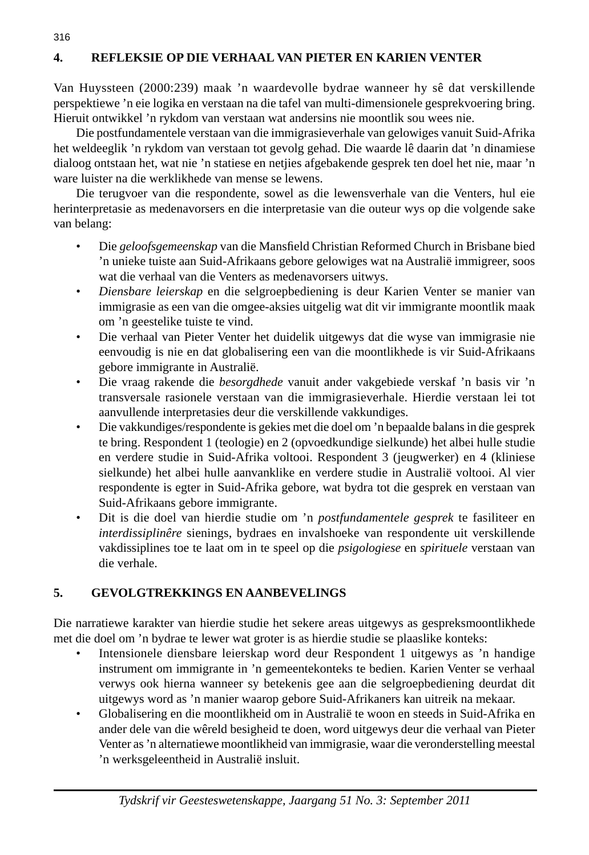## **4. REFLEKSIE OP DIE VERHAAL VAN PIETER EN KARIEN VENTER**

Van Huyssteen (2000:239) maak 'n waardevolle bydrae wanneer hy sê dat verskillende perspektiewe 'n eie logika en verstaan na die tafel van multi-dimensionele gesprekvoering bring. Hieruit ontwikkel 'n rykdom van verstaan wat andersins nie moontlik sou wees nie.

 Die postfundamentele verstaan van die immigrasieverhale van gelowiges vanuit Suid-Afrika het weldeeglik 'n rykdom van verstaan tot gevolg gehad. Die waarde lê daarin dat 'n dinamiese dialoog ontstaan het, wat nie 'n statiese en netjies afgebakende gesprek ten doel het nie, maar 'n ware luister na die werklikhede van mense se lewens.

 Die terugvoer van die respondente, sowel as die lewensverhale van die Venters, hul eie herinterpretasie as medenavorsers en die interpretasie van die outeur wys op die volgende sake van belang:

- Die geloofsgemeenskap van die Mansfield Christian Reformed Church in Brisbane bied 'n unieke tuiste aan Suid-Afrikaans gebore gelowiges wat na Australië immigreer, soos wat die verhaal van die Venters as medenavorsers uitwys.
- *Diensbare leierskap* en die selgroepbediening is deur Karien Venter se manier van immigrasie as een van die omgee-aksies uitgelig wat dit vir immigrante moontlik maak om 'n geestelike tuiste te vind.
- Die verhaal van Pieter Venter het duidelik uitgewys dat die wyse van immigrasie nie eenvoudig is nie en dat globalisering een van die moontlikhede is vir Suid-Afrikaans gebore immigrante in Australië.
- Die vraag rakende die *besorgdhede* vanuit ander vakgebiede verskaf 'n basis vir 'n transversale rasionele verstaan van die immigrasieverhale. Hierdie verstaan lei tot aanvullende interpretasies deur die verskillende vakkundiges.
- Die vakkundiges/respondente is gekies met die doel om 'n bepaalde balans in die gesprek te bring. Respondent 1 (teologie) en 2 (opvoedkundige sielkunde) het albei hulle studie en verdere studie in Suid-Afrika voltooi. Respondent 3 (jeugwerker) en 4 (kliniese sielkunde) het albei hulle aanvanklike en verdere studie in Australië voltooi. Al vier respondente is egter in Suid-Afrika gebore, wat bydra tot die gesprek en verstaan van Suid-Afrikaans gebore immigrante.
- Dit is die doel van hierdie studie om 'n *postfundamentele gesprek* te fasiliteer en *interdissiplinêre* sienings, bydraes en invalshoeke van respondente uit verskillende vakdissiplines toe te laat om in te speel op die *psigologiese* en *spirituele* verstaan van die verhale.

### **5. GEVOLGTREKKINGS EN AANBEVELINGS**

Die narratiewe karakter van hierdie studie het sekere areas uitgewys as gespreksmoontlikhede met die doel om 'n bydrae te lewer wat groter is as hierdie studie se plaaslike konteks:

- Intensionele diensbare leierskap word deur Respondent 1 uitgewys as 'n handige instrument om immigrante in 'n gemeentekonteks te bedien. Karien Venter se verhaal verwys ook hierna wanneer sy betekenis gee aan die selgroepbediening deurdat dit uitgewys word as 'n manier waarop gebore Suid-Afrikaners kan uitreik na mekaar.
- Globalisering en die moontlikheid om in Australië te woon en steeds in Suid-Afrika en ander dele van die wêreld besigheid te doen, word uitgewys deur die verhaal van Pieter Venter as 'n alternatiewe moontlikheid van immigrasie, waar die veronderstelling meestal 'n werksgeleentheid in Australië insluit.

316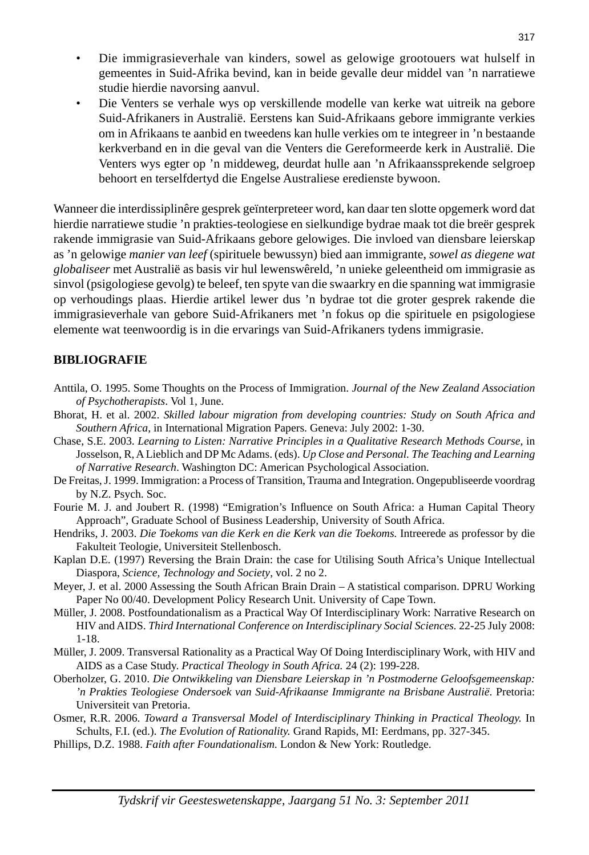- Die immigrasieverhale van kinders, sowel as gelowige grootouers wat hulself in gemeentes in Suid-Afrika bevind, kan in beide gevalle deur middel van 'n narratiewe studie hierdie navorsing aanvul.
- Die Venters se verhale wys op verskillende modelle van kerke wat uitreik na gebore Suid-Afrikaners in Australië. Eerstens kan Suid-Afrikaans gebore immigrante verkies om in Afrikaans te aanbid en tweedens kan hulle verkies om te integreer in 'n bestaande kerkverband en in die geval van die Venters die Gereformeerde kerk in Australië. Die Venters wys egter op 'n middeweg, deurdat hulle aan 'n Afrikaanssprekende selgroep behoort en terselfdertyd die Engelse Australiese eredienste bywoon.

Wanneer die interdissiplinêre gesprek geïnterpreteer word, kan daar ten slotte opgemerk word dat hierdie narratiewe studie 'n prakties-teologiese en sielkundige bydrae maak tot die breër gesprek rakende immigrasie van Suid-Afrikaans gebore gelowiges. Die invloed van diensbare leierskap as 'n gelowige *manier van leef* (spirituele bewussyn) bied aan immigrante, *sowel as diegene wat globaliseer* met Australië as basis vir hul lewenswêreld, 'n unieke geleentheid om immigrasie as sinvol (psigologiese gevolg) te beleef, ten spyte van die swaarkry en die spanning wat immigrasie op verhoudings plaas. Hierdie artikel lewer dus 'n bydrae tot die groter gesprek rakende die immigrasieverhale van gebore Suid-Afrikaners met 'n fokus op die spirituele en psigologiese elemente wat teenwoordig is in die ervarings van Suid-Afrikaners tydens immigrasie.

#### **BIBLIOGRAFIE**

- Anttila, O. 1995. Some Thoughts on the Process of Immigration. *Journal of the New Zealand Association of Psychotherapists*. Vol 1, June.
- Bhorat, H. et al. 2002. *Skilled labour migration from developing countries: Study on South Africa and Southern Africa,* in International Migration Papers. Geneva: July 2002: 1-30.
- Chase, S.E. 2003. *Learning to Listen: Narrative Principles in a Qualitative Research Methods Course,* in Josselson, R, A Lieblich and DP Mc Adams. (eds). *Up Close and Personal. The Teaching and Learning of Narrative Research*. Washington DC: American Psychological Association.
- De Freitas, J. 1999. Immigration: a Process of Transition, Trauma and Integration. Ongepubliseerde voordrag by N.Z. Psych. Soc.
- Fourie M. J. and Joubert R. (1998) "Emigration's Influence on South Africa: a Human Capital Theory Approach", Graduate School of Business Leadership, University of South Africa.
- Hendriks, J. 2003. *Die Toekoms van die Kerk en die Kerk van die Toekoms.* Intreerede as professor by die Fakulteit Teologie, Universiteit Stellenbosch.
- Kaplan D.E. (1997) Reversing the Brain Drain: the case for Utilising South Africa's Unique Intellectual Diaspora, *Science, Technology and Society*, vol. 2 no 2.
- Meyer, J*.* et al. 2000 Assessing the South African Brain Drain A statistical comparison. DPRU Working Paper No 00/40. Development Policy Research Unit. University of Cape Town.
- Müller, J. 2008. Postfoundationalism as a Practical Way Of Interdisciplinary Work: Narrative Research on HIV and AIDS. *Third International Conference on Interdisciplinary Social Sciences.* 22-25 July 2008: 1-18.
- Müller, J. 2009. Transversal Rationality as a Practical Way Of Doing Interdisciplinary Work, with HIV and AIDS as a Case Study. *Practical Theology in South Africa.* 24 (2): 199-228.
- Oberholzer, G. 2010. *Die Ontwikkeling van Diensbare Leierskap in 'n Postmoderne Geloofsgemeenskap: 'n Prakties Teologiese Ondersoek van Suid-Afrikaanse Immigrante na Brisbane Australië*. Pretoria: Universiteit van Pretoria.
- Osmer, R.R. 2006. *Toward a Transversal Model of Interdisciplinary Thinking in Practical Theology.* In Schults, F.I. (ed.). *The Evolution of Rationality.* Grand Rapids, MI: Eerdmans, pp. 327-345.
- Phillips, D.Z. 1988. *Faith after Foundationalism.* London & New York: Routledge.